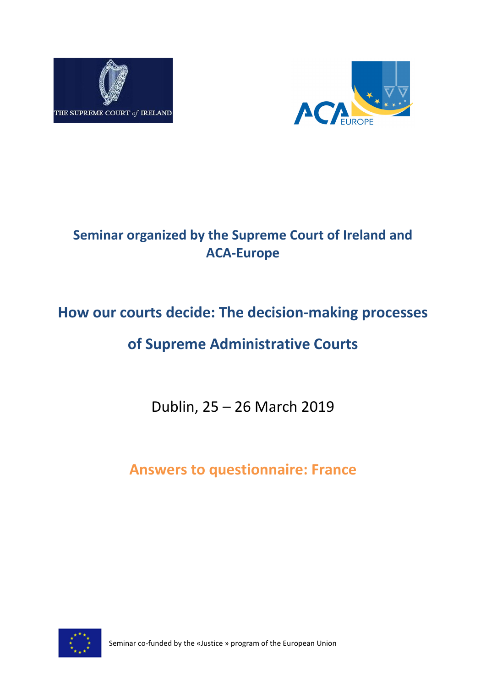



# **Seminar organized by the Supreme Court of Ireland and ACA-Europe**

# **How our courts decide: The decision-making processes**

# **of Supreme Administrative Courts**

Dublin, 25 – 26 March 2019

**Answers to questionnaire: France**



Seminar co-funded by the «Justice » program of the European Union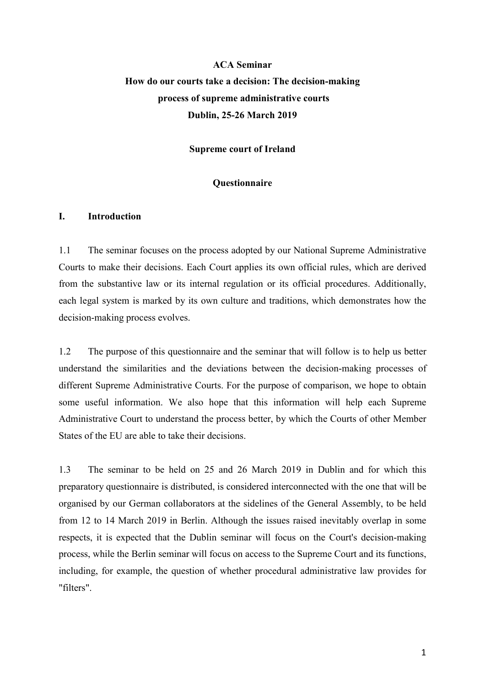## **ACA Seminar How do our courts take a decision: The decision-making process of supreme administrative courts Dublin, 25-26 March 2019**

**Supreme court of Ireland**

## **Questionnaire**

## **I. Introduction**

1.1 The seminar focuses on the process adopted by our National Supreme Administrative Courts to make their decisions. Each Court applies its own official rules, which are derived from the substantive law or its internal regulation or its official procedures. Additionally, each legal system is marked by its own culture and traditions, which demonstrates how the decision-making process evolves.

1.2 The purpose of this questionnaire and the seminar that will follow is to help us better understand the similarities and the deviations between the decision-making processes of different Supreme Administrative Courts. For the purpose of comparison, we hope to obtain some useful information. We also hope that this information will help each Supreme Administrative Court to understand the process better, by which the Courts of other Member States of the EU are able to take their decisions.

1.3 The seminar to be held on 25 and 26 March 2019 in Dublin and for which this preparatory questionnaire is distributed, is considered interconnected with the one that will be organised by our German collaborators at the sidelines of the General Assembly, to be held from 12 to 14 March 2019 in Berlin. Although the issues raised inevitably overlap in some respects, it is expected that the Dublin seminar will focus on the Court's decision-making process, while the Berlin seminar will focus on access to the Supreme Court and its functions, including, for example, the question of whether procedural administrative law provides for "filters".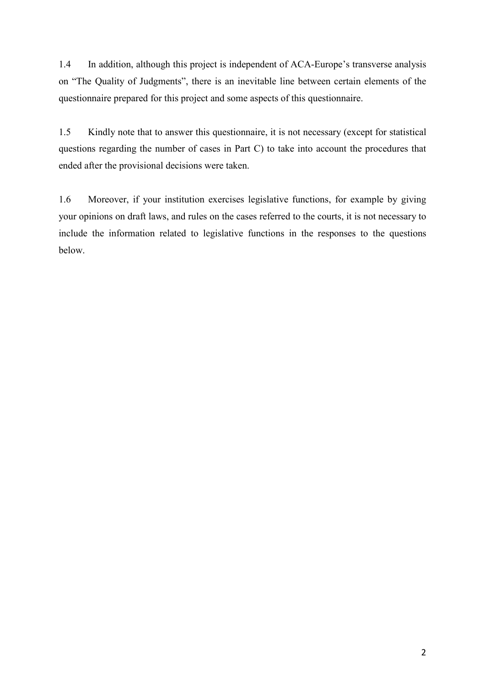1.4 In addition, although this project is independent of ACA-Europe's transverse analysis on "The Quality of Judgments", there is an inevitable line between certain elements of the questionnaire prepared for this project and some aspects of this questionnaire.

1.5 Kindly note that to answer this questionnaire, it is not necessary (except for statistical questions regarding the number of cases in Part C) to take into account the procedures that ended after the provisional decisions were taken.

1.6 Moreover, if your institution exercises legislative functions, for example by giving your opinions on draft laws, and rules on the cases referred to the courts, it is not necessary to include the information related to legislative functions in the responses to the questions below.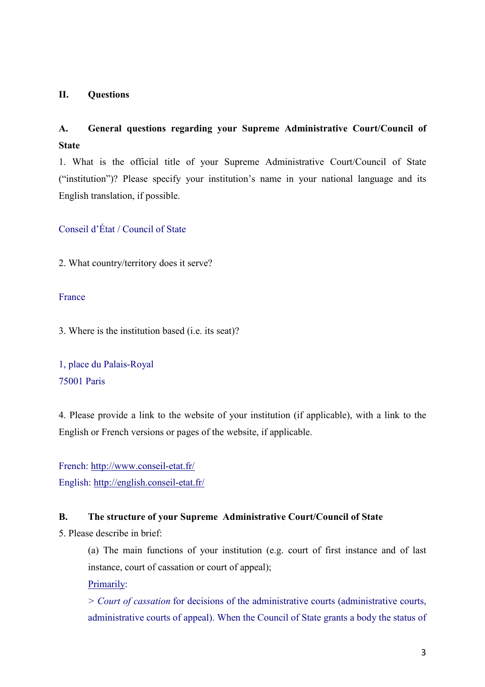## **II. Questions**

## **A. General questions regarding your Supreme Administrative Court/Council of State**

1. What is the official title of your Supreme Administrative Court/Council of State ("institution")? Please specify your institution's name in your national language and its English translation, if possible.

Conseil d'État / Council of State

2. What country/territory does it serve?

### France

3. Where is the institution based (i.e. its seat)?

1, place du Palais-Royal 75001 Paris

4. Please provide a link to the website of your institution (if applicable), with a link to the English or French versions or pages of the website, if applicable.

French:<http://www.conseil-etat.fr/> English:<http://english.conseil-etat.fr/>

## **B. The structure of your Supreme Administrative Court/Council of State**

5. Please describe in brief:

(a) The main functions of your institution (e.g. court of first instance and of last instance, court of cassation or court of appeal);

Primarily:

*> Court of cassation* for decisions of the administrative courts (administrative courts, administrative courts of appeal). When the Council of State grants a body the status of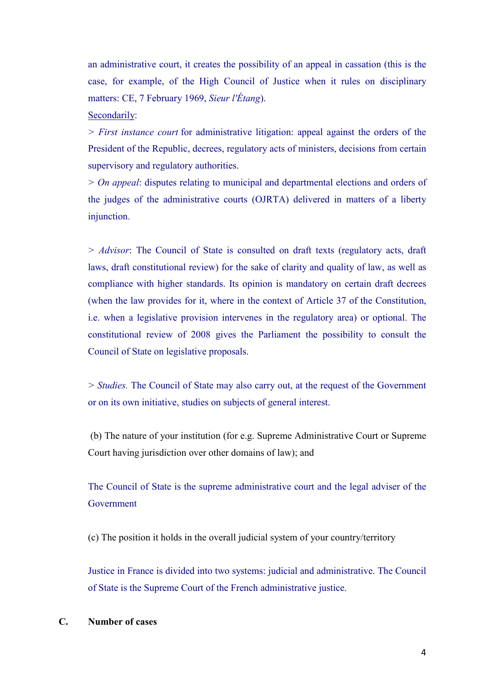an administrative court, it creates the possibility of an appeal in cassation (this is the case, for example, of the High Council of Justice when it rules on disciplinary matters: CE, 7 February 1969, *Sieur l'Étang*).

#### Secondarily:

*> First instance court* for administrative litigation: appeal against the orders of the President of the Republic, decrees, regulatory acts of ministers, decisions from certain supervisory and regulatory authorities.

*> On appeal*: disputes relating to municipal and departmental elections and orders of the judges of the administrative courts (OJRTA) delivered in matters of a liberty injunction.

*> Advisor*: The Council of State is consulted on draft texts (regulatory acts, draft laws, draft constitutional review) for the sake of clarity and quality of law, as well as compliance with higher standards. Its opinion is mandatory on certain draft decrees (when the law provides for it, where in the context of Article 37 of the Constitution, i.e. when a legislative provision intervenes in the regulatory area) or optional. The constitutional review of 2008 gives the Parliament the possibility to consult the Council of State on legislative proposals.

*> Studies.* The Council of State may also carry out, at the request of the Government or on its own initiative, studies on subjects of general interest.

(b) The nature of your institution (for e.g. Supreme Administrative Court or Supreme Court having jurisdiction over other domains of law); and

The Council of State is the supreme administrative court and the legal adviser of the Government

(c) The position it holds in the overall judicial system of your country/territory

Justice in France is divided into two systems: judicial and administrative. The Council of State is the Supreme Court of the French administrative justice.

#### **C. Number of cases**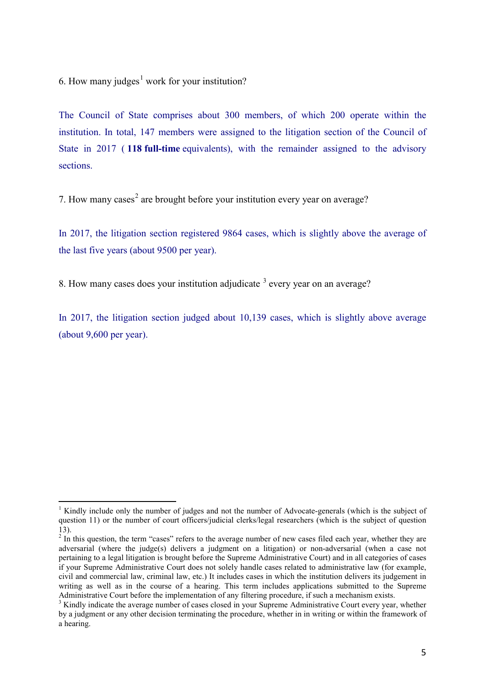6. How many judges<sup>[1](#page-5-0)</sup> work for your institution?

The Council of State comprises about 300 members, of which 200 operate within the institution. In total, 147 members were assigned to the litigation section of the Council of State in 2017 ( **118 full-time** equivalents), with the remainder assigned to the advisory sections.

7. How many cases<sup>[2](#page-5-1)</sup> are brought before your institution every year on average?

In 2017, the litigation section registered 9864 cases, which is slightly above the average of the last five years (about 9500 per year).

8. How many cases does your institution adjudicate <sup>[3](#page-5-2)</sup> every year on an average?

In 2017, the litigation section judged about 10,139 cases, which is slightly above average (about 9,600 per year).

<span id="page-5-0"></span><sup>1</sup> Kindly include only the number of judges and not the number of Advocate-generals (which is the subject of question 11) or the number of court officers/judicial clerks/legal researchers (which is the subject of question 13).

<span id="page-5-1"></span> $2 \text{ In this question, the term "cases" refers to the average number of new cases filed each year, whether they are$ adversarial (where the judge(s) delivers a judgment on a litigation) or non-adversarial (when a case not pertaining to a legal litigation is brought before the Supreme Administrative Court) and in all categories of cases if your Supreme Administrative Court does not solely handle cases related to administrative law (for example, civil and commercial law, criminal law, etc.) It includes cases in which the institution delivers its judgement in writing as well as in the course of a hearing. This term includes applications submitted to the Supreme Administrative Court before the implementation of any filtering procedure, if such a mechanism exists.

<span id="page-5-2"></span><sup>&</sup>lt;sup>3</sup> Kindly indicate the average number of cases closed in your Supreme Administrative Court every year, whether by a judgment or any other decision terminating the procedure, whether in in writing or within the framework of a hearing.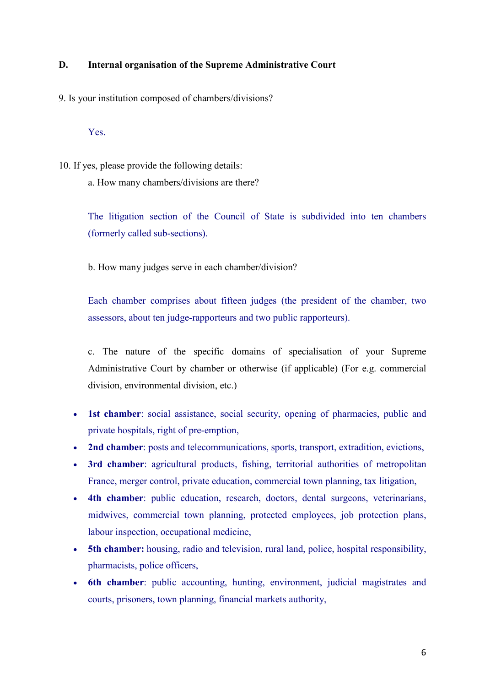## **D. Internal organisation of the Supreme Administrative Court**

9. Is your institution composed of chambers/divisions?

Yes.

10. If yes, please provide the following details: a. How many chambers/divisions are there?

> The litigation section of the Council of State is subdivided into ten chambers (formerly called sub-sections).

b. How many judges serve in each chamber/division?

Each chamber comprises about fifteen judges (the president of the chamber, two assessors, about ten judge-rapporteurs and two public rapporteurs).

c. The nature of the specific domains of specialisation of your Supreme Administrative Court by chamber or otherwise (if applicable) (For e.g. commercial division, environmental division, etc.)

- **1st chamber**: social assistance, social security, opening of pharmacies, public and private hospitals, right of pre-emption,
- **2nd chamber**: posts and telecommunications, sports, transport, extradition, evictions,
- **3rd chamber**: agricultural products, fishing, territorial authorities of metropolitan France, merger control, private education, commercial town planning, tax litigation,
- **4th chamber**: public education, research, doctors, dental surgeons, veterinarians, midwives, commercial town planning, protected employees, job protection plans, labour inspection, occupational medicine,
- **5th chamber:** housing, radio and television, rural land, police, hospital responsibility, pharmacists, police officers,
- **6th chamber**: public accounting, hunting, environment, judicial magistrates and courts, prisoners, town planning, financial markets authority,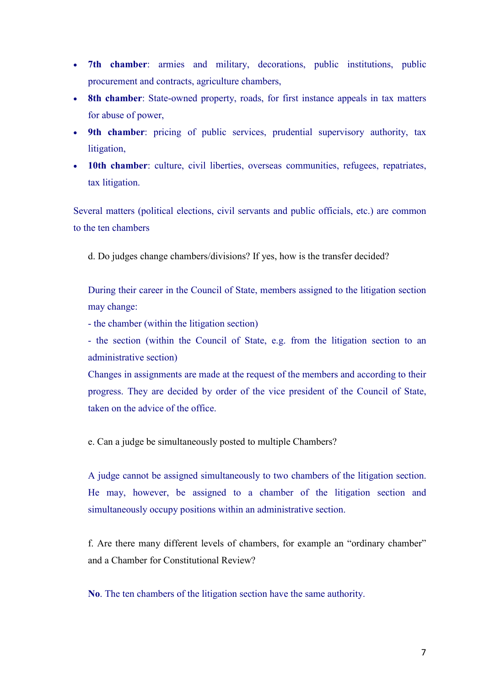- **7th chamber**: armies and military, decorations, public institutions, public procurement and contracts, agriculture chambers,
- **8th chamber**: State-owned property, roads, for first instance appeals in tax matters for abuse of power,
- **9th chamber**: pricing of public services, prudential supervisory authority, tax litigation,
- **10th chamber**: culture, civil liberties, overseas communities, refugees, repatriates, tax litigation.

Several matters (political elections, civil servants and public officials, etc.) are common to the ten chambers

d. Do judges change chambers/divisions? If yes, how is the transfer decided?

During their career in the Council of State, members assigned to the litigation section may change:

- the chamber (within the litigation section)

- the section (within the Council of State, e.g. from the litigation section to an administrative section)

Changes in assignments are made at the request of the members and according to their progress. They are decided by order of the vice president of the Council of State, taken on the advice of the office.

e. Can a judge be simultaneously posted to multiple Chambers?

A judge cannot be assigned simultaneously to two chambers of the litigation section. He may, however, be assigned to a chamber of the litigation section and simultaneously occupy positions within an administrative section.

f. Are there many different levels of chambers, for example an "ordinary chamber" and a Chamber for Constitutional Review?

**No**. The ten chambers of the litigation section have the same authority.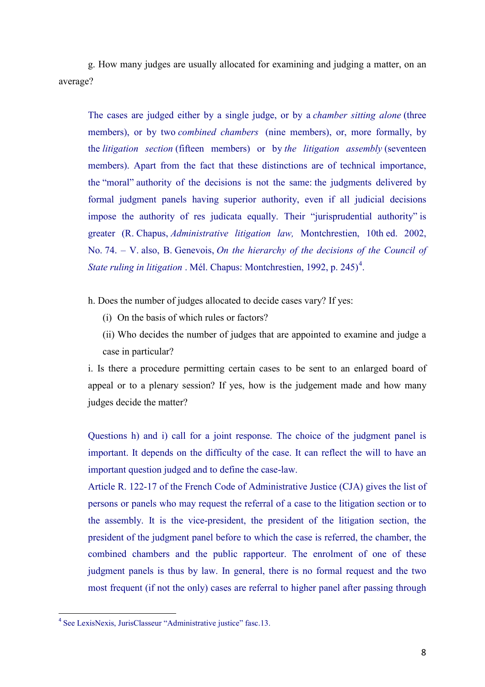g. How many judges are usually allocated for examining and judging a matter, on an average?

The cases are judged either by a single judge, or by a *chamber sitting alone* (three members), or by two *combined chambers* (nine members), or, more formally, by the *litigation section* (fifteen members) or by *the litigation assembly* (seventeen members). Apart from the fact that these distinctions are of technical importance, the "moral" authority of the decisions is not the same: the judgments delivered by formal judgment panels having superior authority, even if all judicial decisions impose the authority of res judicata equally. Their "jurisprudential authority" is greater (R. Chapus, *Administrative litigation law,* Montchrestien, 10th ed. 2002, No. 74. – V. also, B. Genevois, *On the hierarchy of the decisions of the Council of State ruling in litigation* . Mél. Chapus: Montchrestien, 1992, p. 2[4](#page-8-0)5)<sup>4</sup>.

h. Does the number of judges allocated to decide cases vary? If yes:

- (i) On the basis of which rules or factors?
- (ii) Who decides the number of judges that are appointed to examine and judge a case in particular?

i. Is there a procedure permitting certain cases to be sent to an enlarged board of appeal or to a plenary session? If yes, how is the judgement made and how many judges decide the matter?

Questions h) and i) call for a joint response. The choice of the judgment panel is important. It depends on the difficulty of the case. It can reflect the will to have an important question judged and to define the case-law.

Article R. 122-17 of the French Code of Administrative Justice (CJA) gives the list of persons or panels who may request the referral of a case to the litigation section or to the assembly. It is the vice-president, the president of the litigation section, the president of the judgment panel before to which the case is referred, the chamber, the combined chambers and the public rapporteur. The enrolment of one of these judgment panels is thus by law. In general, there is no formal request and the two most frequent (if not the only) cases are referral to higher panel after passing through

<span id="page-8-0"></span> <sup>4</sup> See LexisNexis, JurisClasseur "Administrative justice" fasc.13.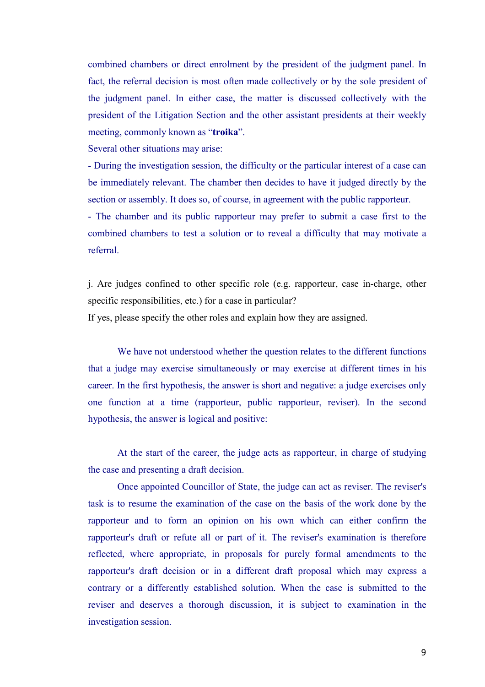combined chambers or direct enrolment by the president of the judgment panel. In fact, the referral decision is most often made collectively or by the sole president of the judgment panel. In either case, the matter is discussed collectively with the president of the Litigation Section and the other assistant presidents at their weekly meeting, commonly known as "**troika**".

Several other situations may arise:

- During the investigation session, the difficulty or the particular interest of a case can be immediately relevant. The chamber then decides to have it judged directly by the section or assembly. It does so, of course, in agreement with the public rapporteur.

- The chamber and its public rapporteur may prefer to submit a case first to the combined chambers to test a solution or to reveal a difficulty that may motivate a referral.

j. Are judges confined to other specific role (e.g. rapporteur, case in-charge, other specific responsibilities, etc.) for a case in particular?

If yes, please specify the other roles and explain how they are assigned.

We have not understood whether the question relates to the different functions that a judge may exercise simultaneously or may exercise at different times in his career. In the first hypothesis, the answer is short and negative: a judge exercises only one function at a time (rapporteur, public rapporteur, reviser). In the second hypothesis, the answer is logical and positive:

At the start of the career, the judge acts as rapporteur, in charge of studying the case and presenting a draft decision.

Once appointed Councillor of State, the judge can act as reviser. The reviser's task is to resume the examination of the case on the basis of the work done by the rapporteur and to form an opinion on his own which can either confirm the rapporteur's draft or refute all or part of it. The reviser's examination is therefore reflected, where appropriate, in proposals for purely formal amendments to the rapporteur's draft decision or in a different draft proposal which may express a contrary or a differently established solution. When the case is submitted to the reviser and deserves a thorough discussion, it is subject to examination in the investigation session.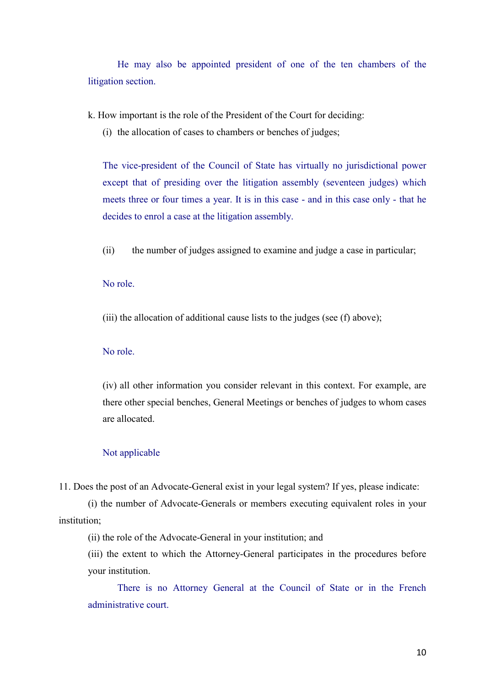He may also be appointed president of one of the ten chambers of the litigation section.

k. How important is the role of the President of the Court for deciding:

(i) the allocation of cases to chambers or benches of judges;

The vice-president of the Council of State has virtually no jurisdictional power except that of presiding over the litigation assembly (seventeen judges) which meets three or four times a year. It is in this case - and in this case only - that he decides to enrol a case at the litigation assembly.

(ii) the number of judges assigned to examine and judge a case in particular;

## No role.

(iii) the allocation of additional cause lists to the judges (see (f) above);

## No role.

(iv) all other information you consider relevant in this context. For example, are there other special benches, General Meetings or benches of judges to whom cases are allocated.

### Not applicable

11. Does the post of an Advocate-General exist in your legal system? If yes, please indicate:

(i) the number of Advocate-Generals or members executing equivalent roles in your institution;

(ii) the role of the Advocate-General in your institution; and

(iii) the extent to which the Attorney-General participates in the procedures before your institution.

There is no Attorney General at the Council of State or in the French administrative court.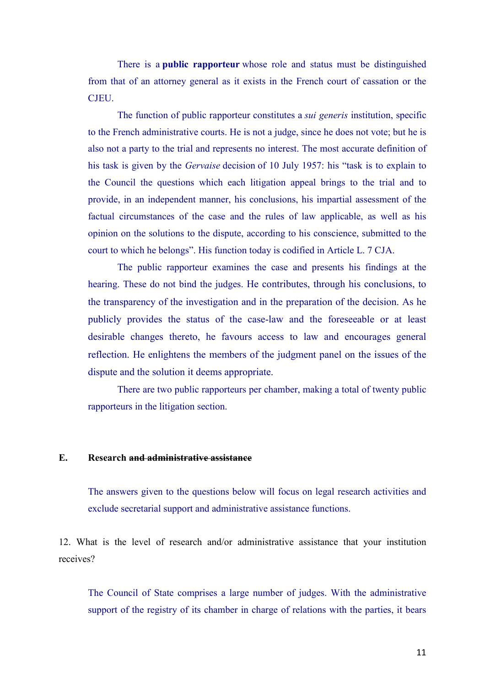There is a **public rapporteur** whose role and status must be distinguished from that of an attorney general as it exists in the French court of cassation or the CJEU.

The function of public rapporteur constitutes a *sui generis* institution, specific to the French administrative courts. He is not a judge, since he does not vote; but he is also not a party to the trial and represents no interest. The most accurate definition of his task is given by the *Gervaise* decision of 10 July 1957: his "task is to explain to the Council the questions which each litigation appeal brings to the trial and to provide, in an independent manner, his conclusions, his impartial assessment of the factual circumstances of the case and the rules of law applicable, as well as his opinion on the solutions to the dispute, according to his conscience, submitted to the court to which he belongs". His function today is codified in Article L. 7 CJA.

The public rapporteur examines the case and presents his findings at the hearing. These do not bind the judges. He contributes, through his conclusions, to the transparency of the investigation and in the preparation of the decision. As he publicly provides the status of the case-law and the foreseeable or at least desirable changes thereto, he favours access to law and encourages general reflection. He enlightens the members of the judgment panel on the issues of the dispute and the solution it deems appropriate.

There are two public rapporteurs per chamber, making a total of twenty public rapporteurs in the litigation section.

#### **E. Research and administrative assistance**

The answers given to the questions below will focus on legal research activities and exclude secretarial support and administrative assistance functions.

12. What is the level of research and/or administrative assistance that your institution receives?

The Council of State comprises a large number of judges. With the administrative support of the registry of its chamber in charge of relations with the parties, it bears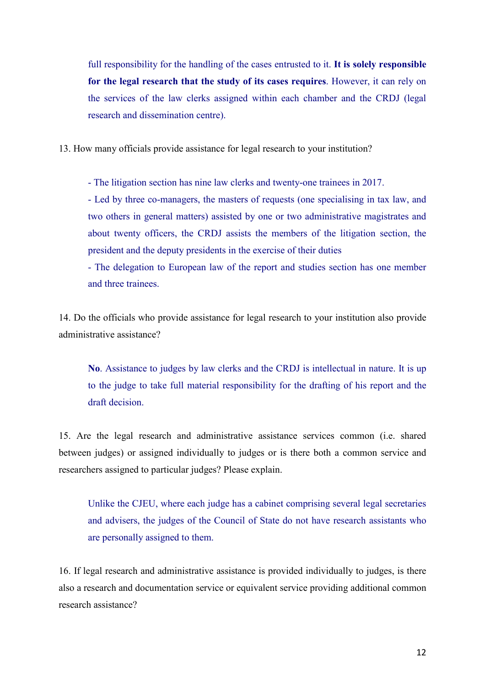full responsibility for the handling of the cases entrusted to it. **It is solely responsible for the legal research that the study of its cases requires**. However, it can rely on the services of the law clerks assigned within each chamber and the CRDJ (legal research and dissemination centre).

13. How many officials provide assistance for legal research to your institution?

- The litigation section has nine law clerks and twenty-one trainees in 2017.

- Led by three co-managers, the masters of requests (one specialising in tax law, and two others in general matters) assisted by one or two administrative magistrates and about twenty officers, the CRDJ assists the members of the litigation section, the president and the deputy presidents in the exercise of their duties

- The delegation to European law of the report and studies section has one member and three trainees.

14. Do the officials who provide assistance for legal research to your institution also provide administrative assistance?

**No**. Assistance to judges by law clerks and the CRDJ is intellectual in nature. It is up to the judge to take full material responsibility for the drafting of his report and the draft decision.

15. Are the legal research and administrative assistance services common (i.e. shared between judges) or assigned individually to judges or is there both a common service and researchers assigned to particular judges? Please explain.

Unlike the CJEU, where each judge has a cabinet comprising several legal secretaries and advisers, the judges of the Council of State do not have research assistants who are personally assigned to them.

16. If legal research and administrative assistance is provided individually to judges, is there also a research and documentation service or equivalent service providing additional common research assistance?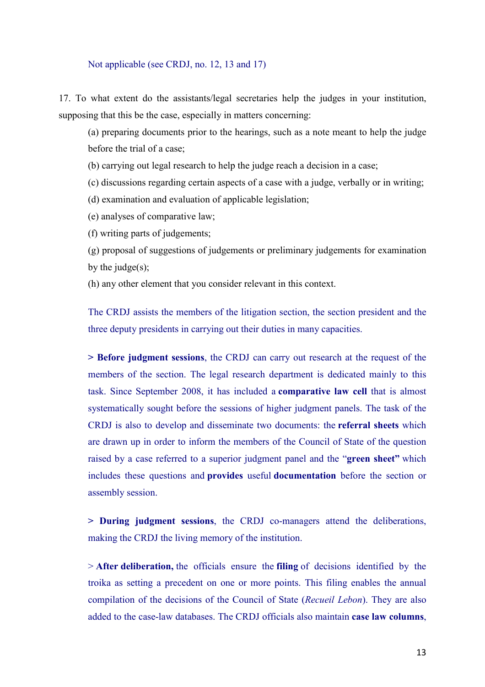#### Not applicable (see CRDJ, no. 12, 13 and 17)

17. To what extent do the assistants/legal secretaries help the judges in your institution, supposing that this be the case, especially in matters concerning:

(a) preparing documents prior to the hearings, such as a note meant to help the judge before the trial of a case;

(b) carrying out legal research to help the judge reach a decision in a case;

(c) discussions regarding certain aspects of a case with a judge, verbally or in writing;

(d) examination and evaluation of applicable legislation;

(e) analyses of comparative law;

(f) writing parts of judgements;

(g) proposal of suggestions of judgements or preliminary judgements for examination by the judge $(s)$ ;

(h) any other element that you consider relevant in this context.

The CRDJ assists the members of the litigation section, the section president and the three deputy presidents in carrying out their duties in many capacities.

**> Before judgment sessions**, the CRDJ can carry out research at the request of the members of the section. The legal research department is dedicated mainly to this task. Since September 2008, it has included a **comparative law cell** that is almost systematically sought before the sessions of higher judgment panels. The task of the CRDJ is also to develop and disseminate two documents: the **referral sheets** which are drawn up in order to inform the members of the Council of State of the question raised by a case referred to a superior judgment panel and the "**green sheet"** which includes these questions and **provides** useful **documentation** before the section or assembly session.

**> During judgment sessions**, the CRDJ co-managers attend the deliberations, making the CRDJ the living memory of the institution.

> **After deliberation,** the officials ensure the **filing** of decisions identified by the troika as setting a precedent on one or more points. This filing enables the annual compilation of the decisions of the Council of State (*Recueil Lebon*). They are also added to the case-law databases. The CRDJ officials also maintain **case law columns**,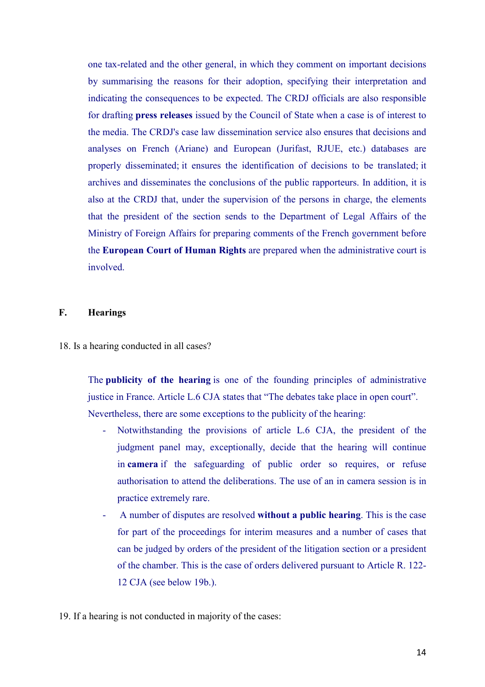one tax-related and the other general, in which they comment on important decisions by summarising the reasons for their adoption, specifying their interpretation and indicating the consequences to be expected. The CRDJ officials are also responsible for drafting **press releases** issued by the Council of State when a case is of interest to the media. The CRDJ's case law dissemination service also ensures that decisions and analyses on French (Ariane) and European (Jurifast, RJUE, etc.) databases are properly disseminated; it ensures the identification of decisions to be translated; it archives and disseminates the conclusions of the public rapporteurs. In addition, it is also at the CRDJ that, under the supervision of the persons in charge, the elements that the president of the section sends to the Department of Legal Affairs of the Ministry of Foreign Affairs for preparing comments of the French government before the **European Court of Human Rights** are prepared when the administrative court is involved.

#### **F. Hearings**

18. Is a hearing conducted in all cases?

The **publicity of the hearing** is one of the founding principles of administrative justice in France. Article L.6 CJA states that "The debates take place in open court". Nevertheless, there are some exceptions to the publicity of the hearing:

- Notwithstanding the provisions of article L.6 CJA, the president of the judgment panel may, exceptionally, decide that the hearing will continue in **camera** if the safeguarding of public order so requires, or refuse authorisation to attend the deliberations. The use of an in camera session is in practice extremely rare.
- A number of disputes are resolved **without a public hearing**. This is the case for part of the proceedings for interim measures and a number of cases that can be judged by orders of the president of the litigation section or a president of the chamber. This is the case of orders delivered pursuant to Article R. 122- 12 CJA (see below 19b.).

19. If a hearing is not conducted in majority of the cases: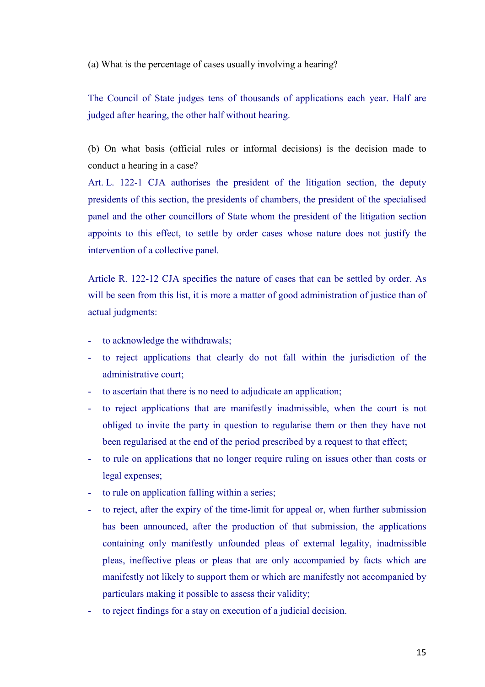(a) What is the percentage of cases usually involving a hearing?

The Council of State judges tens of thousands of applications each year. Half are judged after hearing, the other half without hearing.

(b) On what basis (official rules or informal decisions) is the decision made to conduct a hearing in a case?

Art. L. 122-1 CJA authorises the president of the litigation section, the deputy presidents of this section, the presidents of chambers, the president of the specialised panel and the other councillors of State whom the president of the litigation section appoints to this effect, to settle by order cases whose nature does not justify the intervention of a collective panel.

Article R. 122-12 CJA specifies the nature of cases that can be settled by order. As will be seen from this list, it is more a matter of good administration of justice than of actual judgments:

- to acknowledge the withdrawals;
- to reject applications that clearly do not fall within the jurisdiction of the administrative court;
- to ascertain that there is no need to adjudicate an application;
- to reject applications that are manifestly inadmissible, when the court is not obliged to invite the party in question to regularise them or then they have not been regularised at the end of the period prescribed by a request to that effect;
- to rule on applications that no longer require ruling on issues other than costs or legal expenses;
- to rule on application falling within a series;
- to reject, after the expiry of the time-limit for appeal or, when further submission has been announced, after the production of that submission, the applications containing only manifestly unfounded pleas of external legality, inadmissible pleas, ineffective pleas or pleas that are only accompanied by facts which are manifestly not likely to support them or which are manifestly not accompanied by particulars making it possible to assess their validity;
- to reject findings for a stay on execution of a judicial decision.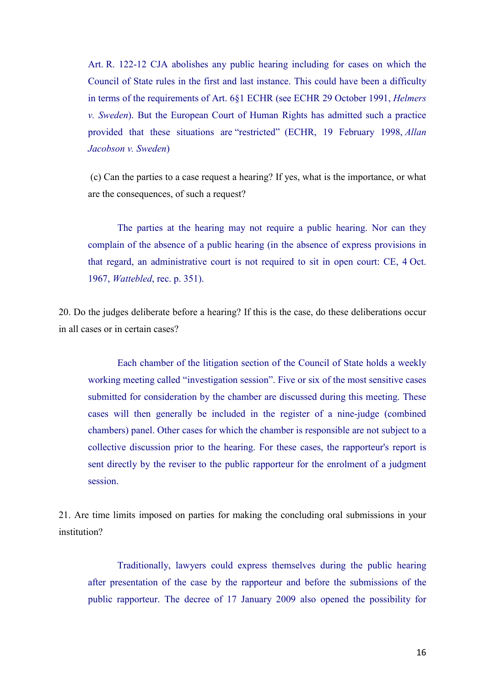Art. R. 122-12 CJA abolishes any public hearing including for cases on which the Council of State rules in the first and last instance. This could have been a difficulty in terms of the requirements of Art. 6§1 ECHR (see ECHR 29 October 1991, *Helmers v. Sweden*). But the European Court of Human Rights has admitted such a practice provided that these situations are "restricted" (ECHR, 19 February 1998, *Allan Jacobson v. Sweden*)

(c) Can the parties to a case request a hearing? If yes, what is the importance, or what are the consequences, of such a request?

The parties at the hearing may not require a public hearing. Nor can they complain of the absence of a public hearing (in the absence of express provisions in that regard, an administrative court is not required to sit in open court: CE, 4 Oct. 1967, *Wattebled*, rec. p. 351).

20. Do the judges deliberate before a hearing? If this is the case, do these deliberations occur in all cases or in certain cases?

Each chamber of the litigation section of the Council of State holds a weekly working meeting called "investigation session". Five or six of the most sensitive cases submitted for consideration by the chamber are discussed during this meeting. These cases will then generally be included in the register of a nine-judge (combined chambers) panel. Other cases for which the chamber is responsible are not subject to a collective discussion prior to the hearing. For these cases, the rapporteur's report is sent directly by the reviser to the public rapporteur for the enrolment of a judgment session.

21. Are time limits imposed on parties for making the concluding oral submissions in your institution?

Traditionally, lawyers could express themselves during the public hearing after presentation of the case by the rapporteur and before the submissions of the public rapporteur. The decree of 17 January 2009 also opened the possibility for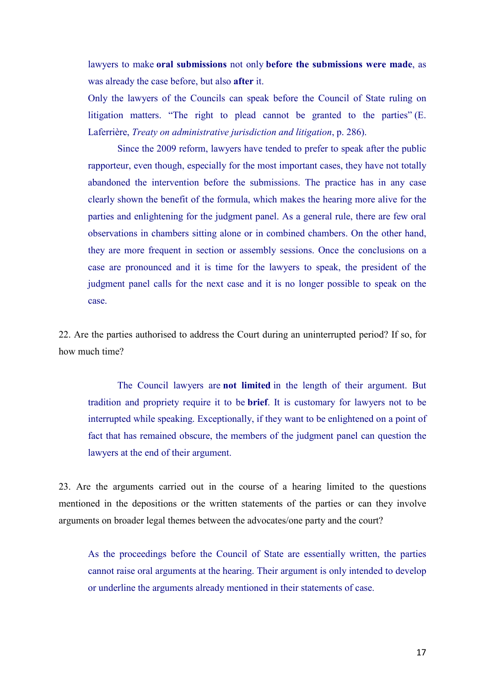lawyers to make **oral submissions** not only **before the submissions were made**, as was already the case before, but also **after** it.

Only the lawyers of the Councils can speak before the Council of State ruling on litigation matters. "The right to plead cannot be granted to the parties" (E. Laferrière, *Treaty on administrative jurisdiction and litigation*, p. 286).

Since the 2009 reform, lawyers have tended to prefer to speak after the public rapporteur, even though, especially for the most important cases, they have not totally abandoned the intervention before the submissions. The practice has in any case clearly shown the benefit of the formula, which makes the hearing more alive for the parties and enlightening for the judgment panel. As a general rule, there are few oral observations in chambers sitting alone or in combined chambers. On the other hand, they are more frequent in section or assembly sessions. Once the conclusions on a case are pronounced and it is time for the lawyers to speak, the president of the judgment panel calls for the next case and it is no longer possible to speak on the case.

22. Are the parties authorised to address the Court during an uninterrupted period? If so, for how much time?

The Council lawyers are **not limited** in the length of their argument. But tradition and propriety require it to be **brief**. It is customary for lawyers not to be interrupted while speaking. Exceptionally, if they want to be enlightened on a point of fact that has remained obscure, the members of the judgment panel can question the lawyers at the end of their argument.

23. Are the arguments carried out in the course of a hearing limited to the questions mentioned in the depositions or the written statements of the parties or can they involve arguments on broader legal themes between the advocates/one party and the court?

As the proceedings before the Council of State are essentially written, the parties cannot raise oral arguments at the hearing. Their argument is only intended to develop or underline the arguments already mentioned in their statements of case.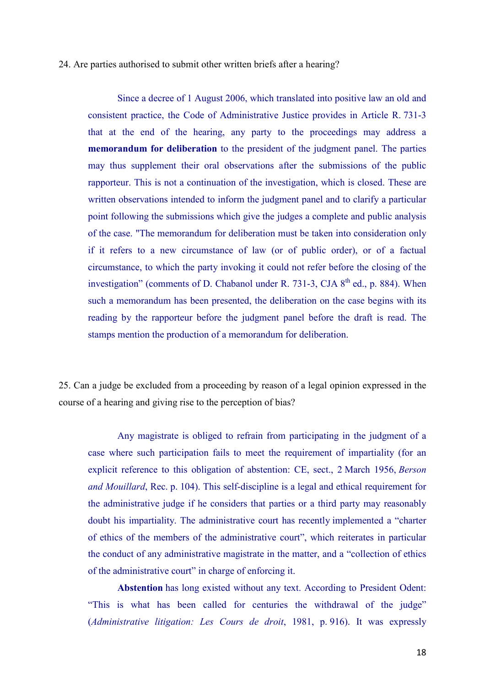#### 24. Are parties authorised to submit other written briefs after a hearing?

Since a decree of 1 August 2006, which translated into positive law an old and consistent practice, the Code of Administrative Justice provides in Article R. 731-3 that at the end of the hearing, any party to the proceedings may address a **memorandum for deliberation** to the president of the judgment panel. The parties may thus supplement their oral observations after the submissions of the public rapporteur. This is not a continuation of the investigation, which is closed. These are written observations intended to inform the judgment panel and to clarify a particular point following the submissions which give the judges a complete and public analysis of the case. "The memorandum for deliberation must be taken into consideration only if it refers to a new circumstance of law (or of public order), or of a factual circumstance, to which the party invoking it could not refer before the closing of the investigation" (comments of D. Chabanol under R. 731-3, CJA  $8<sup>th</sup>$  ed., p. 884). When such a memorandum has been presented, the deliberation on the case begins with its reading by the rapporteur before the judgment panel before the draft is read. The stamps mention the production of a memorandum for deliberation.

25. Can a judge be excluded from a proceeding by reason of a legal opinion expressed in the course of a hearing and giving rise to the perception of bias?

Any magistrate is obliged to refrain from participating in the judgment of a case where such participation fails to meet the requirement of impartiality (for an explicit reference to this obligation of abstention: CE, sect., 2 March 1956, *Berson and Mouillard*, Rec. p. 104). This self-discipline is a legal and ethical requirement for the administrative judge if he considers that parties or a third party may reasonably doubt his impartiality. The administrative court has recently implemented a "charter of ethics of the members of the administrative court", which reiterates in particular the conduct of any administrative magistrate in the matter, and a "collection of ethics of the administrative court" in charge of enforcing it.

**Abstention** has long existed without any text. According to President Odent: "This is what has been called for centuries the withdrawal of the judge" (*Administrative litigation: Les Cours de droit*, 1981, p. 916). It was expressly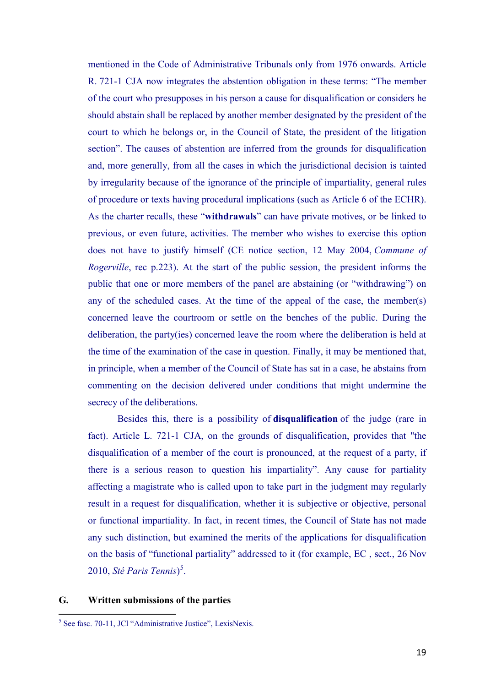mentioned in the Code of Administrative Tribunals only from 1976 onwards. Article R. 721-1 CJA now integrates the abstention obligation in these terms: "The member of the court who presupposes in his person a cause for disqualification or considers he should abstain shall be replaced by another member designated by the president of the court to which he belongs or, in the Council of State, the president of the litigation section". The causes of abstention are inferred from the grounds for disqualification and, more generally, from all the cases in which the jurisdictional decision is tainted by irregularity because of the ignorance of the principle of impartiality, general rules of procedure or texts having procedural implications (such as Article 6 of the ECHR). As the charter recalls, these "**withdrawals**" can have private motives, or be linked to previous, or even future, activities. The member who wishes to exercise this option does not have to justify himself (CE notice section, 12 May 2004, *Commune of Rogerville*, rec p.223). At the start of the public session, the president informs the public that one or more members of the panel are abstaining (or "withdrawing") on any of the scheduled cases. At the time of the appeal of the case, the member(s) concerned leave the courtroom or settle on the benches of the public. During the deliberation, the party(ies) concerned leave the room where the deliberation is held at the time of the examination of the case in question. Finally, it may be mentioned that, in principle, when a member of the Council of State has sat in a case, he abstains from commenting on the decision delivered under conditions that might undermine the secrecy of the deliberations.

Besides this, there is a possibility of **disqualification** of the judge (rare in fact). Article L. 721-1 CJA, on the grounds of disqualification, provides that "the disqualification of a member of the court is pronounced, at the request of a party, if there is a serious reason to question his impartiality". Any cause for partiality affecting a magistrate who is called upon to take part in the judgment may regularly result in a request for disqualification, whether it is subjective or objective, personal or functional impartiality. In fact, in recent times, the Council of State has not made any such distinction, but examined the merits of the applications for disqualification on the basis of "functional partiality" addressed to it (for example, EC , sect., 26 Nov 2010, *Sté Paris Tennis*) [5](#page-19-0) .

#### **G. Written submissions of the parties**

<span id="page-19-0"></span><sup>5</sup> See fasc. 70-11, JCl "Administrative Justice", LexisNexis.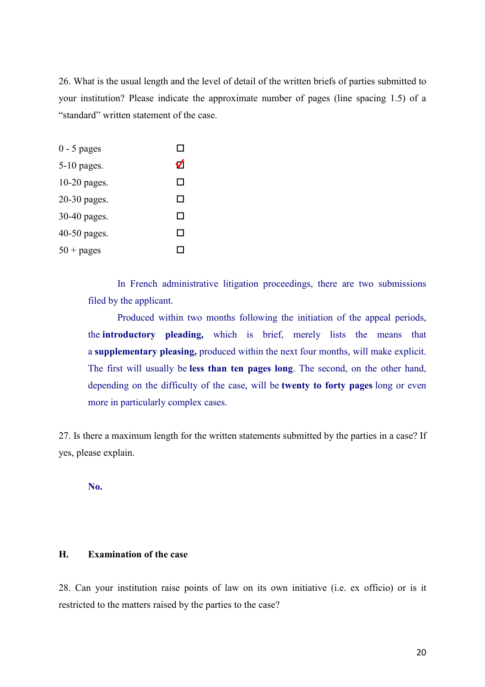26. What is the usual length and the level of detail of the written briefs of parties submitted to your institution? Please indicate the approximate number of pages (line spacing 1.5) of a "standard" written statement of the case.

| $0 - 5$ pages  |    |
|----------------|----|
| $5-10$ pages.  | V) |
| 10-20 pages.   | ΙI |
| $20-30$ pages. | П  |
| 30-40 pages.   | П  |
| $40-50$ pages. | П  |
| $50 + pages$   |    |

In French administrative litigation proceedings, there are two submissions filed by the applicant.

Produced within two months following the initiation of the appeal periods, the **introductory pleading,** which is brief, merely lists the means that a **supplementary pleasing,** produced within the next four months, will make explicit. The first will usually be **less than ten pages long**. The second, on the other hand, depending on the difficulty of the case, will be **twenty to forty pages** long or even more in particularly complex cases.

27. Is there a maximum length for the written statements submitted by the parties in a case? If yes, please explain.

**No.** 

#### **H. Examination of the case**

28. Can your institution raise points of law on its own initiative (i.e. ex officio) or is it restricted to the matters raised by the parties to the case?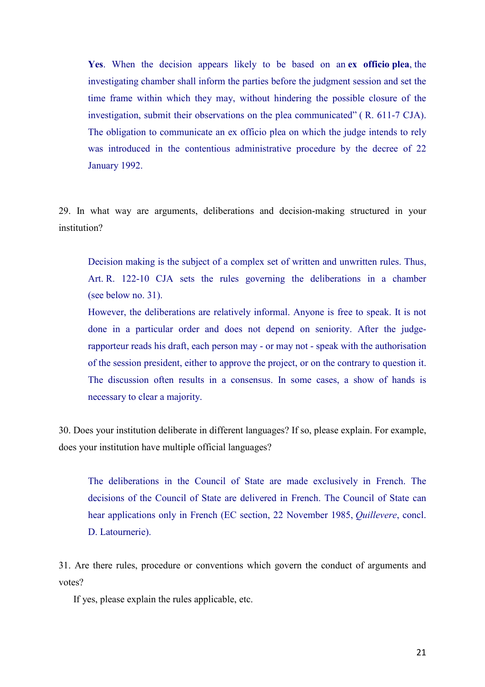**Yes**. When the decision appears likely to be based on an **ex officio plea**, the investigating chamber shall inform the parties before the judgment session and set the time frame within which they may, without hindering the possible closure of the investigation, submit their observations on the plea communicated" ( R. 611-7 CJA). The obligation to communicate an ex officio plea on which the judge intends to rely was introduced in the contentious administrative procedure by the decree of 22 January 1992.

29. In what way are arguments, deliberations and decision-making structured in your institution?

Decision making is the subject of a complex set of written and unwritten rules. Thus, Art. R. 122-10 CJA sets the rules governing the deliberations in a chamber (see below no. 31).

However, the deliberations are relatively informal. Anyone is free to speak. It is not done in a particular order and does not depend on seniority. After the judgerapporteur reads his draft, each person may - or may not - speak with the authorisation of the session president, either to approve the project, or on the contrary to question it. The discussion often results in a consensus. In some cases, a show of hands is necessary to clear a majority.

30. Does your institution deliberate in different languages? If so, please explain. For example, does your institution have multiple official languages?

The deliberations in the Council of State are made exclusively in French. The decisions of the Council of State are delivered in French. The Council of State can hear applications only in French (EC section, 22 November 1985, *Quillevere*, concl. D. Latournerie).

31. Are there rules, procedure or conventions which govern the conduct of arguments and votes?

If yes, please explain the rules applicable, etc.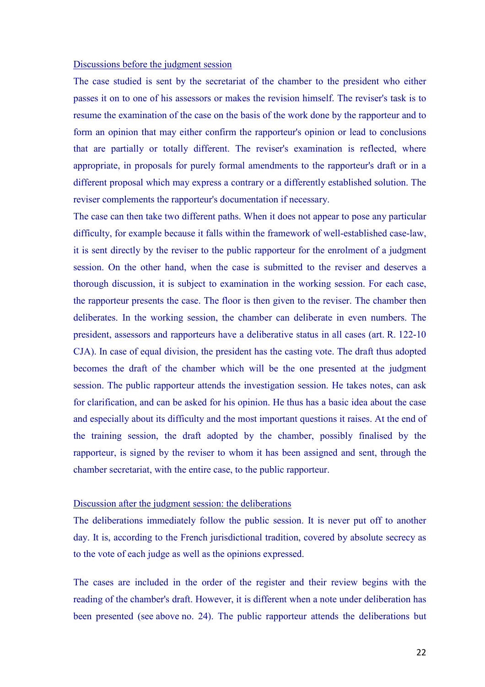#### Discussions before the judgment session

The case studied is sent by the secretariat of the chamber to the president who either passes it on to one of his assessors or makes the revision himself. The reviser's task is to resume the examination of the case on the basis of the work done by the rapporteur and to form an opinion that may either confirm the rapporteur's opinion or lead to conclusions that are partially or totally different. The reviser's examination is reflected, where appropriate, in proposals for purely formal amendments to the rapporteur's draft or in a different proposal which may express a contrary or a differently established solution. The reviser complements the rapporteur's documentation if necessary.

The case can then take two different paths. When it does not appear to pose any particular difficulty, for example because it falls within the framework of well-established case-law, it is sent directly by the reviser to the public rapporteur for the enrolment of a judgment session. On the other hand, when the case is submitted to the reviser and deserves a thorough discussion, it is subject to examination in the working session. For each case, the rapporteur presents the case. The floor is then given to the reviser. The chamber then deliberates. In the working session, the chamber can deliberate in even numbers. The president, assessors and rapporteurs have a deliberative status in all cases (art. R. 122-10 CJA). In case of equal division, the president has the casting vote. The draft thus adopted becomes the draft of the chamber which will be the one presented at the judgment session. The public rapporteur attends the investigation session. He takes notes, can ask for clarification, and can be asked for his opinion. He thus has a basic idea about the case and especially about its difficulty and the most important questions it raises. At the end of the training session, the draft adopted by the chamber, possibly finalised by the rapporteur, is signed by the reviser to whom it has been assigned and sent, through the chamber secretariat, with the entire case, to the public rapporteur.

#### Discussion after the judgment session: the deliberations

The deliberations immediately follow the public session. It is never put off to another day. It is, according to the French jurisdictional tradition, covered by absolute secrecy as to the vote of each judge as well as the opinions expressed.

The cases are included in the order of the register and their review begins with the reading of the chamber's draft. However, it is different when a note under deliberation has been presented (see above no. 24). The public rapporteur attends the deliberations but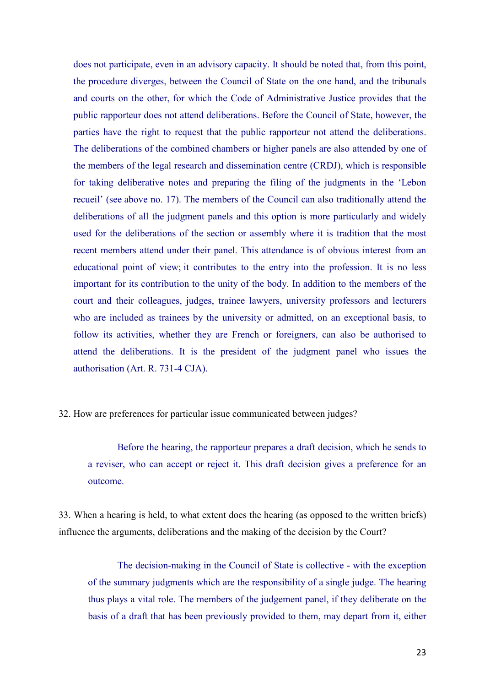does not participate, even in an advisory capacity. It should be noted that, from this point, the procedure diverges, between the Council of State on the one hand, and the tribunals and courts on the other, for which the Code of Administrative Justice provides that the public rapporteur does not attend deliberations. Before the Council of State, however, the parties have the right to request that the public rapporteur not attend the deliberations. The deliberations of the combined chambers or higher panels are also attended by one of the members of the legal research and dissemination centre (CRDJ), which is responsible for taking deliberative notes and preparing the filing of the judgments in the 'Lebon recueil' (see above no. 17). The members of the Council can also traditionally attend the deliberations of all the judgment panels and this option is more particularly and widely used for the deliberations of the section or assembly where it is tradition that the most recent members attend under their panel. This attendance is of obvious interest from an educational point of view; it contributes to the entry into the profession. It is no less important for its contribution to the unity of the body. In addition to the members of the court and their colleagues, judges, trainee lawyers, university professors and lecturers who are included as trainees by the university or admitted, on an exceptional basis, to follow its activities, whether they are French or foreigners, can also be authorised to attend the deliberations. It is the president of the judgment panel who issues the authorisation (Art. R. 731-4 CJA).

32. How are preferences for particular issue communicated between judges?

Before the hearing, the rapporteur prepares a draft decision, which he sends to a reviser, who can accept or reject it. This draft decision gives a preference for an outcome.

33. When a hearing is held, to what extent does the hearing (as opposed to the written briefs) influence the arguments, deliberations and the making of the decision by the Court?

The decision-making in the Council of State is collective - with the exception of the summary judgments which are the responsibility of a single judge. The hearing thus plays a vital role. The members of the judgement panel, if they deliberate on the basis of a draft that has been previously provided to them, may depart from it, either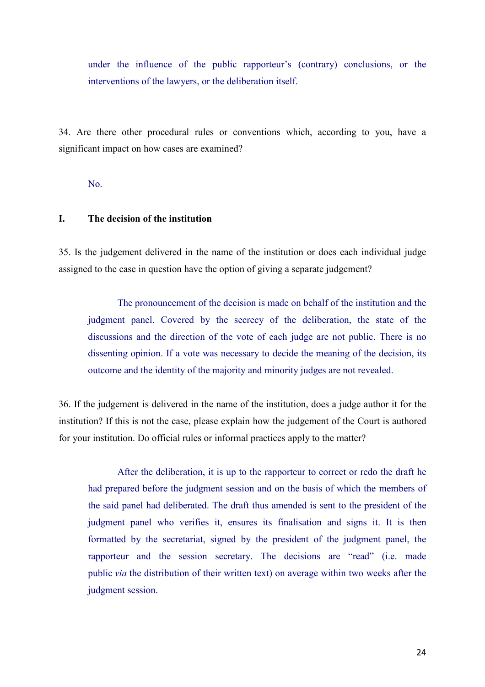under the influence of the public rapporteur's (contrary) conclusions, or the interventions of the lawyers, or the deliberation itself.

34. Are there other procedural rules or conventions which, according to you, have a significant impact on how cases are examined?

No.

## **I. The decision of the institution**

35. Is the judgement delivered in the name of the institution or does each individual judge assigned to the case in question have the option of giving a separate judgement?

The pronouncement of the decision is made on behalf of the institution and the judgment panel. Covered by the secrecy of the deliberation, the state of the discussions and the direction of the vote of each judge are not public. There is no dissenting opinion. If a vote was necessary to decide the meaning of the decision, its outcome and the identity of the majority and minority judges are not revealed.

36. If the judgement is delivered in the name of the institution, does a judge author it for the institution? If this is not the case, please explain how the judgement of the Court is authored for your institution. Do official rules or informal practices apply to the matter?

After the deliberation, it is up to the rapporteur to correct or redo the draft he had prepared before the judgment session and on the basis of which the members of the said panel had deliberated. The draft thus amended is sent to the president of the judgment panel who verifies it, ensures its finalisation and signs it. It is then formatted by the secretariat, signed by the president of the judgment panel, the rapporteur and the session secretary. The decisions are "read" (i.e. made public *via* the distribution of their written text) on average within two weeks after the judgment session.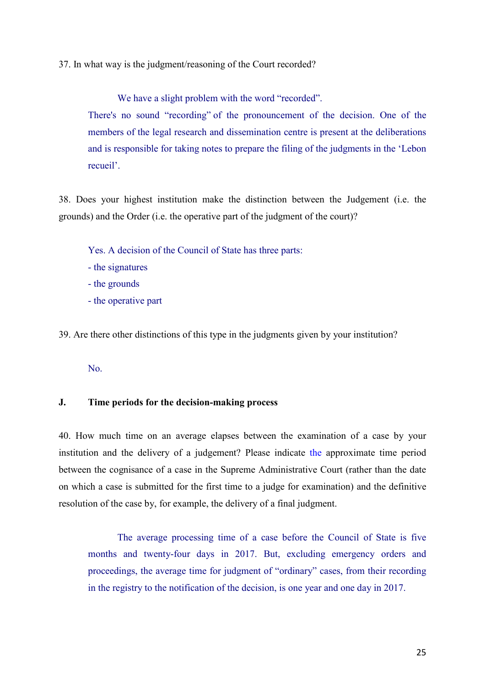37. In what way is the judgment/reasoning of the Court recorded?

We have a slight problem with the word "recorded".

There's no sound "recording" of the pronouncement of the decision. One of the members of the legal research and dissemination centre is present at the deliberations and is responsible for taking notes to prepare the filing of the judgments in the 'Lebon recueil'.

38. Does your highest institution make the distinction between the Judgement (i.e. the grounds) and the Order (i.e. the operative part of the judgment of the court)?

Yes. A decision of the Council of State has three parts:

- the signatures
- the grounds
- the operative part

39. Are there other distinctions of this type in the judgments given by your institution?

No.

## **J. Time periods for the decision-making process**

40. How much time on an average elapses between the examination of a case by your institution and the delivery of a judgement? Please indicate the approximate time period between the cognisance of a case in the Supreme Administrative Court (rather than the date on which a case is submitted for the first time to a judge for examination) and the definitive resolution of the case by, for example, the delivery of a final judgment.

The average processing time of a case before the Council of State is five months and twenty-four days in 2017. But, excluding emergency orders and proceedings, the average time for judgment of "ordinary" cases, from their recording in the registry to the notification of the decision, is one year and one day in 2017.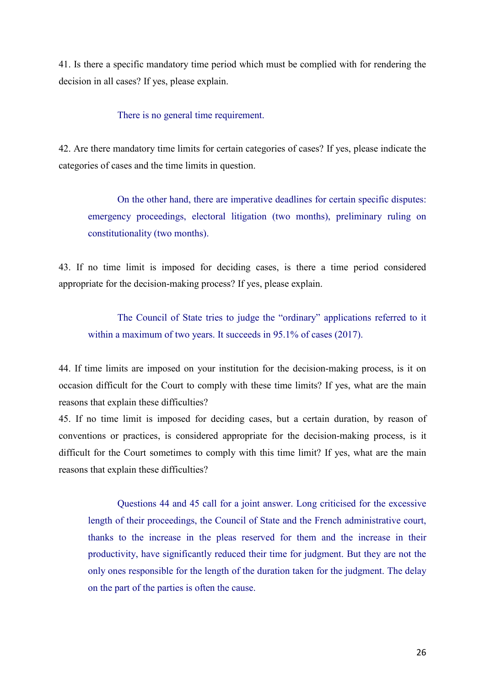41. Is there a specific mandatory time period which must be complied with for rendering the decision in all cases? If yes, please explain.

There is no general time requirement.

42. Are there mandatory time limits for certain categories of cases? If yes, please indicate the categories of cases and the time limits in question.

On the other hand, there are imperative deadlines for certain specific disputes: emergency proceedings, electoral litigation (two months), preliminary ruling on constitutionality (two months).

43. If no time limit is imposed for deciding cases, is there a time period considered appropriate for the decision-making process? If yes, please explain.

The Council of State tries to judge the "ordinary" applications referred to it within a maximum of two years. It succeeds in 95.1% of cases (2017).

44. If time limits are imposed on your institution for the decision-making process, is it on occasion difficult for the Court to comply with these time limits? If yes, what are the main reasons that explain these difficulties?

45. If no time limit is imposed for deciding cases, but a certain duration, by reason of conventions or practices, is considered appropriate for the decision-making process, is it difficult for the Court sometimes to comply with this time limit? If yes, what are the main reasons that explain these difficulties?

Questions 44 and 45 call for a joint answer. Long criticised for the excessive length of their proceedings, the Council of State and the French administrative court, thanks to the increase in the pleas reserved for them and the increase in their productivity, have significantly reduced their time for judgment. But they are not the only ones responsible for the length of the duration taken for the judgment. The delay on the part of the parties is often the cause.